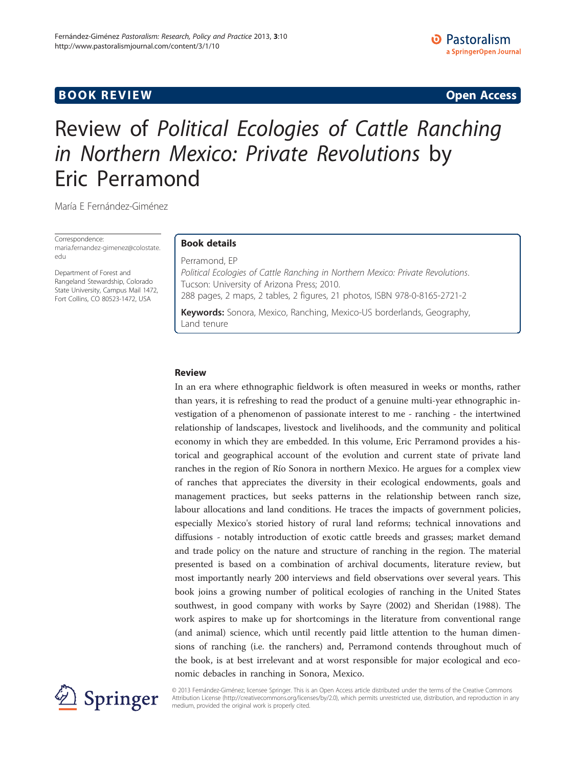# **BOOK REVIEW CONTROL** BOOK REVIEW

# Review of Political Ecologies of Cattle Ranching in Northern Mexico: Private Revolutions by Eric Perramond

María E Fernández-Giménez

Correspondence: [maria.fernandez-gimenez@colostate.](mailto:maria.fernandez-gimenez@colostate.edu) [edu](mailto:maria.fernandez-gimenez@colostate.edu)

Department of Forest and Rangeland Stewardship, Colorado State University, Campus Mail 1472, Fort Collins, CO 80523-1472, USA

# Book details

Perramond, EP

Political Ecologies of Cattle Ranching in Northern Mexico: Private Revolutions. Tucson: University of Arizona Press; 2010. 288 pages, 2 maps, 2 tables, 2 figures, 21 photos, ISBN 978-0-8165-2721-2 Keywords: Sonora, Mexico, Ranching, Mexico-US borderlands, Geography,

Land tenure

# Review

In an era where ethnographic fieldwork is often measured in weeks or months, rather than years, it is refreshing to read the product of a genuine multi-year ethnographic investigation of a phenomenon of passionate interest to me - ranching - the intertwined relationship of landscapes, livestock and livelihoods, and the community and political economy in which they are embedded. In this volume, Eric Perramond provides a historical and geographical account of the evolution and current state of private land ranches in the region of Río Sonora in northern Mexico. He argues for a complex view of ranches that appreciates the diversity in their ecological endowments, goals and management practices, but seeks patterns in the relationship between ranch size, labour allocations and land conditions. He traces the impacts of government policies, especially Mexico's storied history of rural land reforms; technical innovations and diffusions - notably introduction of exotic cattle breeds and grasses; market demand and trade policy on the nature and structure of ranching in the region. The material presented is based on a combination of archival documents, literature review, but most importantly nearly 200 interviews and field observations over several years. This book joins a growing number of political ecologies of ranching in the United States southwest, in good company with works by Sayre [\(2002\)](#page-5-0) and Sheridan ([1988\)](#page-5-0). The work aspires to make up for shortcomings in the literature from conventional range (and animal) science, which until recently paid little attention to the human dimensions of ranching (i.e. the ranchers) and, Perramond contends throughout much of the book, is at best irrelevant and at worst responsible for major ecological and economic debacles in ranching in Sonora, Mexico.



© 2013 Fernández-Giménez; licensee Springer. This is an Open Access article distributed under the terms of the Creative Commons Attribution License [\(http://creativecommons.org/licenses/by/2.0\)](http://creativecommons.org/licenses/by/2.0), which permits unrestricted use, distribution, and reproduction in any medium, provided the original work is properly cited.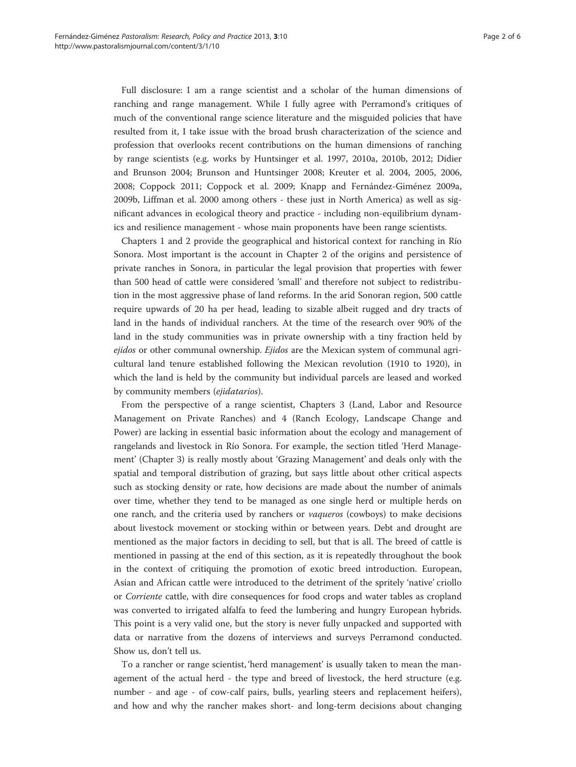Full disclosure: I am a range scientist and a scholar of the human dimensions of ranching and range management. While I fully agree with Perramond's critiques of much of the conventional range science literature and the misguided policies that have resulted from it, I take issue with the broad brush characterization of the science and profession that overlooks recent contributions on the human dimensions of ranching by range scientists (e.g. works by Huntsinger et al. [1997, 2010a](#page-4-0), [2010b, 2012;](#page-4-0) Didier and Brunson [2004](#page-4-0); Brunson and Huntsinger [2008](#page-4-0); Kreuter et al. [2004](#page-5-0), [2005, 2006](#page-5-0), [2008](#page-5-0); Coppock [2011](#page-4-0); Coppock et al. [2009](#page-4-0); Knapp and Fernández-Giménez [2009a](#page-4-0), [2009b](#page-4-0), Liffman et al. [2000](#page-5-0) among others - these just in North America) as well as significant advances in ecological theory and practice - including non-equilibrium dynamics and resilience management - whose main proponents have been range scientists.

Chapters 1 and 2 provide the geographical and historical context for ranching in Río Sonora. Most important is the account in Chapter 2 of the origins and persistence of private ranches in Sonora, in particular the legal provision that properties with fewer than 500 head of cattle were considered 'small' and therefore not subject to redistribution in the most aggressive phase of land reforms. In the arid Sonoran region, 500 cattle require upwards of 20 ha per head, leading to sizable albeit rugged and dry tracts of land in the hands of individual ranchers. At the time of the research over 90% of the land in the study communities was in private ownership with a tiny fraction held by ejidos or other communal ownership. Ejidos are the Mexican system of communal agricultural land tenure established following the Mexican revolution (1910 to 1920), in which the land is held by the community but individual parcels are leased and worked by community members (ejidatarios).

From the perspective of a range scientist, Chapters 3 (Land, Labor and Resource Management on Private Ranches) and 4 (Ranch Ecology, Landscape Change and Power) are lacking in essential basic information about the ecology and management of rangelands and livestock in Río Sonora. For example, the section titled 'Herd Management' (Chapter 3) is really mostly about 'Grazing Management' and deals only with the spatial and temporal distribution of grazing, but says little about other critical aspects such as stocking density or rate, how decisions are made about the number of animals over time, whether they tend to be managed as one single herd or multiple herds on one ranch, and the criteria used by ranchers or vaqueros (cowboys) to make decisions about livestock movement or stocking within or between years. Debt and drought are mentioned as the major factors in deciding to sell, but that is all. The breed of cattle is mentioned in passing at the end of this section, as it is repeatedly throughout the book in the context of critiquing the promotion of exotic breed introduction. European, Asian and African cattle were introduced to the detriment of the spritely 'native' criollo or Corriente cattle, with dire consequences for food crops and water tables as cropland was converted to irrigated alfalfa to feed the lumbering and hungry European hybrids. This point is a very valid one, but the story is never fully unpacked and supported with data or narrative from the dozens of interviews and surveys Perramond conducted. Show us, don't tell us.

To a rancher or range scientist, 'herd management' is usually taken to mean the management of the actual herd - the type and breed of livestock, the herd structure (e.g. number - and age - of cow-calf pairs, bulls, yearling steers and replacement heifers), and how and why the rancher makes short- and long-term decisions about changing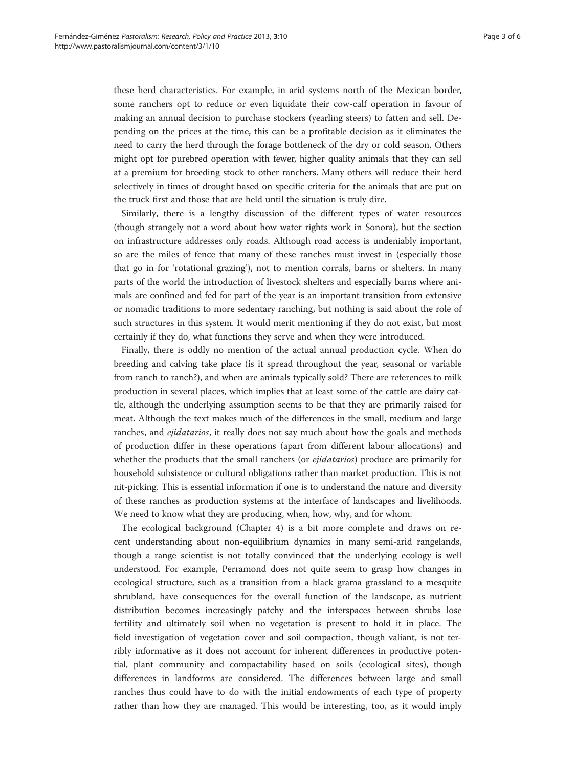these herd characteristics. For example, in arid systems north of the Mexican border, some ranchers opt to reduce or even liquidate their cow-calf operation in favour of making an annual decision to purchase stockers (yearling steers) to fatten and sell. Depending on the prices at the time, this can be a profitable decision as it eliminates the need to carry the herd through the forage bottleneck of the dry or cold season. Others might opt for purebred operation with fewer, higher quality animals that they can sell at a premium for breeding stock to other ranchers. Many others will reduce their herd selectively in times of drought based on specific criteria for the animals that are put on the truck first and those that are held until the situation is truly dire.

Similarly, there is a lengthy discussion of the different types of water resources (though strangely not a word about how water rights work in Sonora), but the section on infrastructure addresses only roads. Although road access is undeniably important, so are the miles of fence that many of these ranches must invest in (especially those that go in for 'rotational grazing'), not to mention corrals, barns or shelters. In many parts of the world the introduction of livestock shelters and especially barns where animals are confined and fed for part of the year is an important transition from extensive or nomadic traditions to more sedentary ranching, but nothing is said about the role of such structures in this system. It would merit mentioning if they do not exist, but most certainly if they do, what functions they serve and when they were introduced.

Finally, there is oddly no mention of the actual annual production cycle. When do breeding and calving take place (is it spread throughout the year, seasonal or variable from ranch to ranch?), and when are animals typically sold? There are references to milk production in several places, which implies that at least some of the cattle are dairy cattle, although the underlying assumption seems to be that they are primarily raised for meat. Although the text makes much of the differences in the small, medium and large ranches, and *ejidatarios*, it really does not say much about how the goals and methods of production differ in these operations (apart from different labour allocations) and whether the products that the small ranchers (or *ejidatarios*) produce are primarily for household subsistence or cultural obligations rather than market production. This is not nit-picking. This is essential information if one is to understand the nature and diversity of these ranches as production systems at the interface of landscapes and livelihoods. We need to know what they are producing, when, how, why, and for whom.

The ecological background (Chapter 4) is a bit more complete and draws on recent understanding about non-equilibrium dynamics in many semi-arid rangelands, though a range scientist is not totally convinced that the underlying ecology is well understood. For example, Perramond does not quite seem to grasp how changes in ecological structure, such as a transition from a black grama grassland to a mesquite shrubland, have consequences for the overall function of the landscape, as nutrient distribution becomes increasingly patchy and the interspaces between shrubs lose fertility and ultimately soil when no vegetation is present to hold it in place. The field investigation of vegetation cover and soil compaction, though valiant, is not terribly informative as it does not account for inherent differences in productive potential, plant community and compactability based on soils (ecological sites), though differences in landforms are considered. The differences between large and small ranches thus could have to do with the initial endowments of each type of property rather than how they are managed. This would be interesting, too, as it would imply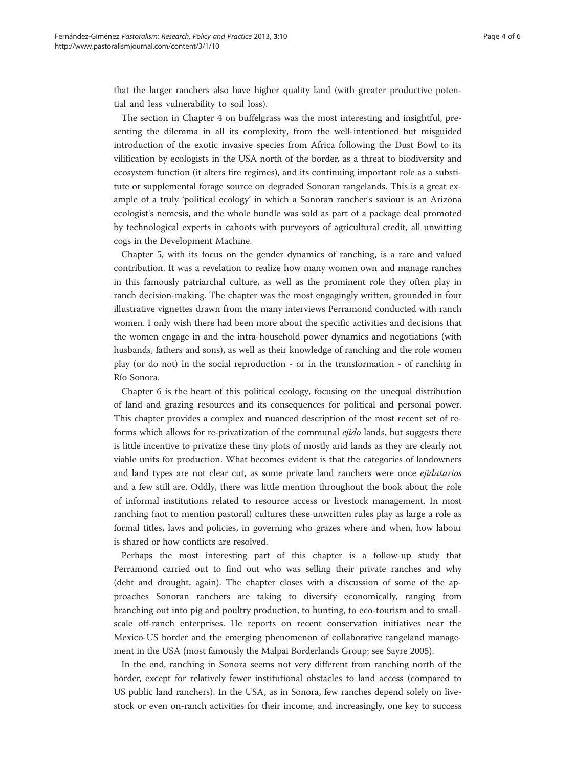that the larger ranchers also have higher quality land (with greater productive potential and less vulnerability to soil loss).

The section in Chapter 4 on buffelgrass was the most interesting and insightful, presenting the dilemma in all its complexity, from the well-intentioned but misguided introduction of the exotic invasive species from Africa following the Dust Bowl to its vilification by ecologists in the USA north of the border, as a threat to biodiversity and ecosystem function (it alters fire regimes), and its continuing important role as a substitute or supplemental forage source on degraded Sonoran rangelands. This is a great example of a truly 'political ecology' in which a Sonoran rancher's saviour is an Arizona ecologist's nemesis, and the whole bundle was sold as part of a package deal promoted by technological experts in cahoots with purveyors of agricultural credit, all unwitting cogs in the Development Machine.

Chapter 5, with its focus on the gender dynamics of ranching, is a rare and valued contribution. It was a revelation to realize how many women own and manage ranches in this famously patriarchal culture, as well as the prominent role they often play in ranch decision-making. The chapter was the most engagingly written, grounded in four illustrative vignettes drawn from the many interviews Perramond conducted with ranch women. I only wish there had been more about the specific activities and decisions that the women engage in and the intra-household power dynamics and negotiations (with husbands, fathers and sons), as well as their knowledge of ranching and the role women play (or do not) in the social reproduction - or in the transformation - of ranching in Río Sonora.

Chapter 6 is the heart of this political ecology, focusing on the unequal distribution of land and grazing resources and its consequences for political and personal power. This chapter provides a complex and nuanced description of the most recent set of reforms which allows for re-privatization of the communal ejido lands, but suggests there is little incentive to privatize these tiny plots of mostly arid lands as they are clearly not viable units for production. What becomes evident is that the categories of landowners and land types are not clear cut, as some private land ranchers were once ejidatarios and a few still are. Oddly, there was little mention throughout the book about the role of informal institutions related to resource access or livestock management. In most ranching (not to mention pastoral) cultures these unwritten rules play as large a role as formal titles, laws and policies, in governing who grazes where and when, how labour is shared or how conflicts are resolved.

Perhaps the most interesting part of this chapter is a follow-up study that Perramond carried out to find out who was selling their private ranches and why (debt and drought, again). The chapter closes with a discussion of some of the approaches Sonoran ranchers are taking to diversify economically, ranging from branching out into pig and poultry production, to hunting, to eco-tourism and to smallscale off-ranch enterprises. He reports on recent conservation initiatives near the Mexico-US border and the emerging phenomenon of collaborative rangeland management in the USA (most famously the Malpai Borderlands Group; see Sayre [2005\)](#page-5-0).

In the end, ranching in Sonora seems not very different from ranching north of the border, except for relatively fewer institutional obstacles to land access (compared to US public land ranchers). In the USA, as in Sonora, few ranches depend solely on livestock or even on-ranch activities for their income, and increasingly, one key to success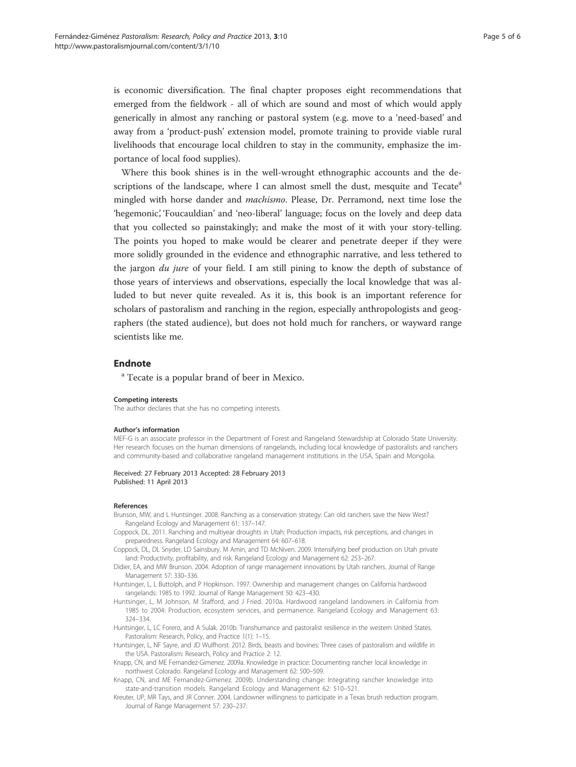<span id="page-4-0"></span>is economic diversification. The final chapter proposes eight recommendations that emerged from the fieldwork - all of which are sound and most of which would apply generically in almost any ranching or pastoral system (e.g. move to a 'need-based' and away from a 'product-push' extension model, promote training to provide viable rural livelihoods that encourage local children to stay in the community, emphasize the importance of local food supplies).

Where this book shines is in the well-wrought ethnographic accounts and the descriptions of the landscape, where I can almost smell the dust, mesquite and Tecate<sup>a</sup> mingled with horse dander and machismo. Please, Dr. Perramond, next time lose the 'hegemonic', 'Foucauldian' and 'neo-liberal' language; focus on the lovely and deep data that you collected so painstakingly; and make the most of it with your story-telling. The points you hoped to make would be clearer and penetrate deeper if they were more solidly grounded in the evidence and ethnographic narrative, and less tethered to the jargon du jure of your field. I am still pining to know the depth of substance of those years of interviews and observations, especially the local knowledge that was alluded to but never quite revealed. As it is, this book is an important reference for scholars of pastoralism and ranching in the region, especially anthropologists and geographers (the stated audience), but does not hold much for ranchers, or wayward range scientists like me.

# Endnote

<sup>a</sup> Tecate is a popular brand of beer in Mexico.

#### Competing interests

The author declares that she has no competing interests.

#### Author's information

MEF-G is an associate professor in the Department of Forest and Rangeland Stewardship at Colorado State University. Her research focuses on the human dimensions of rangelands, including local knowledge of pastoralists and ranchers and community-based and collaborative rangeland management institutions in the USA, Spain and Mongolia.

### Received: 27 February 2013 Accepted: 28 February 2013 Published: 11 April 2013

#### References

Brunson, MW, and L Huntsinger. 2008. Ranching as a conservation strategy: Can old ranchers save the New West? Rangeland Ecology and Management 61: 137–147.

- Coppock, DL. 2011. Ranching and multiyear droughts in Utah: Production impacts, risk perceptions, and changes in preparedness. Rangeland Ecology and Management 64: 607–618.
- Coppock, DL, DL Snyder, LD Sainsbury, M Amin, and TD McNiven. 2009. Intensifying beef production on Utah private land: Productivity, profitability, and risk. Rangeland Ecology and Management 62: 253–267.
- Didier, EA, and MW Brunson. 2004. Adoption of range management innovations by Utah ranchers. Journal of Range Management 57: 330–336.
- Huntsinger, L, L Buttolph, and P Hopkinson. 1997. Ownership and management changes on California hardwood rangelands: 1985 to 1992. Journal of Range Management 50: 423–430.
- Huntsinger, L, M Johnson, M Stafford, and J Fried. 2010a. Hardwood rangeland landowners in California from 1985 to 2004: Production, ecosystem services, and permanence. Rangeland Ecology and Management 63: 324–334.
- Huntsinger, L, LC Forero, and A Sulak. 2010b. Transhumance and pastoralist resilience in the western United States. Pastoralism: Research, Policy, and Practice 1(1): 1–15.
- Huntsinger, L, NF Sayre, and JD Wulfhorst. 2012. Birds, beasts and bovines: Three cases of pastoralism and wildlife in the USA. Pastoralism: Research, Policy and Practice 2: 12.
- Knapp, CN, and ME Fernandez-Gimenez. 2009a. Knowledge in practice: Documenting rancher local knowledge in northwest Colorado. Rangeland Ecology and Management 62: 500–509.
- Knapp, CN, and ME Fernandez-Gimenez. 2009b. Understanding change: Integrating rancher knowledge into state-and-transition models. Rangeland Ecology and Management 62: 510–521.
- Kreuter, UP, MR Tays, and JR Conner. 2004. Landowner willingness to participate in a Texas brush reduction program. Journal of Range Management 57: 230–237.